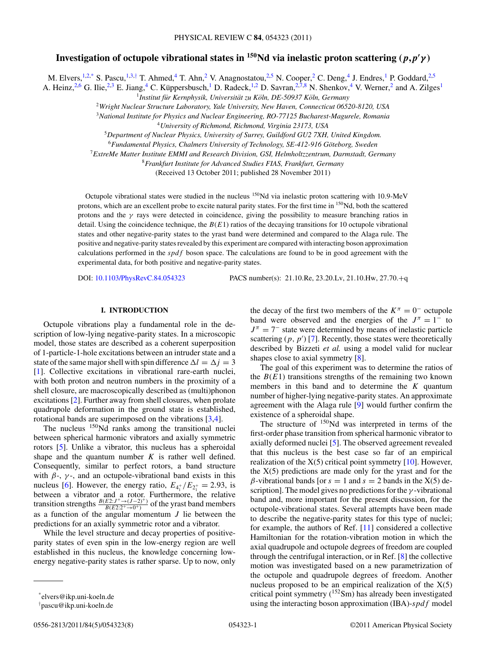# **Investigation of octupole vibrational states in**  $^{150}\text{Nd}$  **via inelastic proton scattering**  $(p, p'\gamma)$

M. Elvers,<sup>1,2,\*</sup> S. Pascu,<sup>1,3,†</sup> T. Ahmed,<sup>4</sup> T. Ahn,<sup>2</sup> V. Anagnostatou,<sup>2,5</sup> N. Cooper,<sup>2</sup> C. Deng,<sup>4</sup> J. Endres,<sup>1</sup> P. Goddard,<sup>2,5</sup> A. Heinz,<sup>2,6</sup> G. Ilie,<sup>2,3</sup> E. Jiang,<sup>4</sup> C. Küppersbusch,<sup>1</sup> D. Radeck,<sup>1,2</sup> D. Savran,<sup>2,7,8</sup> N. Shenkov,<sup>4</sup> V. Werner,<sup>2</sup> and A. Zilges<sup>1</sup>

<sup>1</sup>Institut für Kernphysik, Universität zu Köln, DE-50937 Köln, Germany

<sup>2</sup>*Wright Nuclear Structure Laboratory, Yale University, New Haven, Connecticut 06520-8120, USA*

<sup>3</sup>*National Institute for Physics and Nuclear Engineering, RO-77125 Bucharest-Magurele, Romania*

<sup>4</sup>*University of Richmond, Richmond, Virginia 23173, USA*

<sup>5</sup>*Department of Nuclear Physics, University of Surrey, Guildford GU2 7XH, United Kingdom.*

<sup>6</sup> Fundamental Physics, Chalmers University of Technology, SE-412-916 Göteborg, Sweden

<sup>7</sup>*ExtreMe Matter Institute EMMI and Research Division, GSI, Helmholtzzentrum, Darmstadt, Germany*

<sup>8</sup>*Frankfurt Institute for Advanced Studies FIAS, Frankfurt, Germany*

(Received 13 October 2011; published 28 November 2011)

Octupole vibrational states were studied in the nucleus 150Nd via inelastic proton scattering with 10*.*9-MeV protons, which are an excellent probe to excite natural parity states. For the first time in 150Nd, both the scattered protons and the *γ* rays were detected in coincidence, giving the possibility to measure branching ratios in detail. Using the coincidence technique, the  $B(E1)$  ratios of the decaying transitions for 10 octupole vibrational states and other negative-parity states to the yrast band were determined and compared to the Alaga rule. The positive and negative-parity states revealed by this experiment are compared with interacting boson approximation calculations performed in the *spdf* boson space. The calculations are found to be in good agreement with the experimental data, for both positive and negative-parity states.

DOI: [10.1103/PhysRevC.84.054323](http://dx.doi.org/10.1103/PhysRevC.84.054323) PACS number(s): 21*.*10*.*Re, 23*.*20*.*Lv, 21*.*10*.*Hw, 27*.*70*.*+q

# **I. INTRODUCTION**

Octupole vibrations play a fundamental role in the description of low-lying negative-parity states. In a microscopic model, those states are described as a coherent superposition of 1-particle-1-hole excitations between an intruder state and a state of the same major shell with spin difference  $\Delta l = \Delta j = 3$ [\[1\]](#page-7-0). Collective excitations in vibrational rare-earth nuclei, with both proton and neutron numbers in the proximity of a shell closure, are macroscopically described as (multi)phonon excitations [\[2\]](#page-7-0). Further away from shell closures, when prolate quadrupole deformation in the ground state is established, rotational bands are superimposed on the vibrations [\[3,4\]](#page-7-0).

The nucleus <sup>150</sup>Nd ranks among the transitional nuclei between spherical harmonic vibrators and axially symmetric rotors [\[5\]](#page-7-0). Unlike a vibrator, this nucleus has a spheroidal shape and the quantum number  $K$  is rather well defined. Consequently, similar to perfect rotors, a band structure with  $\beta$ -,  $\gamma$ -, and an octupole-vibrational band exists in this nucleus [\[6\]](#page-7-0). However, the energy ratio,  $E_{4_1^+}/E_{2_1^+} = 2.93$ , is between a vibrator and a rotor. Furthermore, the relative transition strengths  $\frac{B(E2:J^+\to (J-2)^+)}{B(E2:2^+\to 0^+)}$  of the yrast band members as a function of the angular momentum *J* lie between the predictions for an axially symmetric rotor and a vibrator.

While the level structure and decay properties of positiveparity states of even spin in the low-energy region are well established in this nucleus, the knowledge concerning lowenergy negative-parity states is rather sparse. Up to now, only

the decay of the first two members of the  $K^{\pi} = 0^-$  octupole band were observed and the energies of the  $J^{\pi} = 1^-$  to  $J^{\pi} = 7^-$  state were determined by means of inelastic particle scattering  $(p, p')$  [\[7\]](#page-7-0). Recently, those states were theoretically described by Bizzeti *et al.* using a model valid for nuclear shapes close to axial symmetry [\[8\]](#page-7-0).

The goal of this experiment was to determine the ratios of the  $B(E1)$  transitions strengths of the remaining two known members in this band and to determine the *K* quantum number of higher-lying negative-parity states. An approximate agreement with the Alaga rule [\[9\]](#page-7-0) would further confirm the existence of a spheroidal shape.

The structure of <sup>150</sup>Nd was interpreted in terms of the first-order phase transition from spherical harmonic vibrator to axially deformed nuclei [\[5\]](#page-7-0). The observed agreement revealed that this nucleus is the best case so far of an empirical realization of the  $X(5)$  critical point symmetry [\[10\]](#page-7-0). However, the  $X(5)$  predictions are made only for the yrast and for the *β*-vibrational bands [or  $s = 1$  and  $s = 2$  bands in the X(5) description]. The model gives no predictions for the *γ* -vibrational band and, more important for the present discussion, for the octupole-vibrational states. Several attempts have been made to describe the negative-parity states for this type of nuclei; for example, the authors of Ref. [\[11\]](#page-7-0) considered a collective Hamiltonian for the rotation-vibration motion in which the axial quadrupole and octupole degrees of freedom are coupled through the centrifugal interaction, or in Ref. [\[8\]](#page-7-0) the collective motion was investigated based on a new parametrization of the octupole and quadrupole degrees of freedom. Another nucleus proposed to be an empirical realization of the  $X(5)$ critical point symmetry  $(^{152}Sm)$  has already been investigated using the interacting boson approximation (IBA)-*spdf* model

<sup>\*</sup>elvers@ikp.uni-koeln.de

<sup>†</sup> pascu@ikp.uni-koeln.de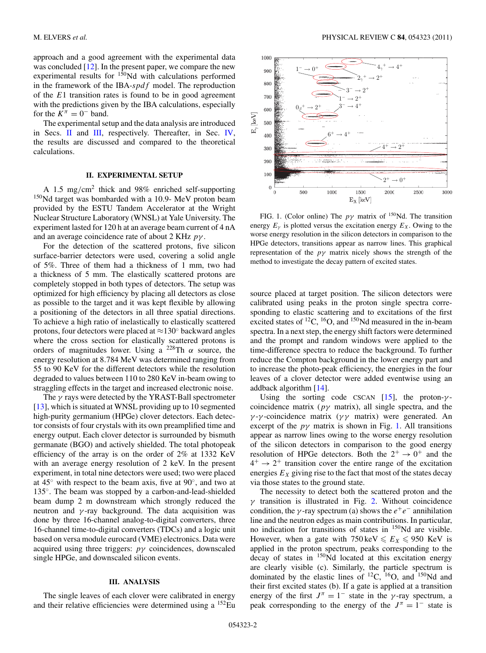approach and a good agreement with the experimental data was concluded [\[12\]](#page-7-0). In the present paper, we compare the new experimental results for  $150$ Nd with calculations performed in the framework of the IBA-*spdf* model. The reproduction of the *E*1 transition rates is found to be in good agreement with the predictions given by the IBA calculations, especially for the  $K^{\pi} = 0^-$  band.

The experimental setup and the data analysis are introduced in Secs. II and III, respectively. Thereafter, in Sec. [IV,](#page-2-0) the results are discussed and compared to the theoretical calculations.

### **II. EXPERIMENTAL SETUP**

A 1.5 mg*/*cm2 thick and 98% enriched self-supporting 150Nd target was bombarded with a 10*.*9- MeV proton beam provided by the ESTU Tandem Accelerator at the Wright Nuclear Structure Laboratory (WNSL) at Yale University. The experiment lasted for 120 h at an average beam current of 4 nA and an average coincidence rate of about 2 KHz *pγ* .

For the detection of the scattered protons, five silicon surface-barrier detectors were used, covering a solid angle of 5%. Three of them had a thickness of 1 mm, two had a thickness of 5 mm. The elastically scattered protons are completely stopped in both types of detectors. The setup was optimized for high efficiency by placing all detectors as close as possible to the target and it was kept flexible by allowing a positioning of the detectors in all three spatial directions. To achieve a high ratio of inelastically to elastically scattered protons, four detectors were placed at  $\approx$ 130 $\degree$  backward angles where the cross section for elastically scattered protons is orders of magnitudes lower. Using a 228Th *α* source, the energy resolution at 8*.*784 MeV was determined ranging from 55 to 90 KeV for the different detectors while the resolution degraded to values between 110 to 280 KeV in-beam owing to straggling effects in the target and increased electronic noise.

The *γ* rays were detected by the YRAST-Ball spectrometer [\[13\]](#page-7-0), which is situated at WNSL providing up to 10 segmented high-purity germanium (HPGe) clover detectors. Each detector consists of four crystals with its own preamplified time and energy output. Each clover detector is surrounded by bismuth germanate (BGO) and actively shielded. The total photopeak efficiency of the array is on the order of 2% at 1332 KeV with an average energy resolution of 2 keV. In the present experiment, in total nine detectors were used; two were placed at  $45^\circ$  with respect to the beam axis, five at  $90^\circ$ , and two at 135◦. The beam was stopped by a carbon-and-lead-shielded beam dump 2 m downstream which strongly reduced the neutron and  $\gamma$ -ray background. The data acquisition was done by three 16-channel analog-to-digital converters, three 16-channel time-to-digital converters (TDCs) and a logic unit based on versa module eurocard (VME) electronics. Data were acquired using three triggers: *pγ* coincidences, downscaled single HPGe, and downscaled silicon events.

# **III. ANALYSIS**

The single leaves of each clover were calibrated in energy and their relative efficiencies were determined using a  $^{152}$ Eu



FIG. 1. (Color online) The  $p\gamma$  matrix of <sup>150</sup>Nd. The transition energy  $E<sub>y</sub>$  is plotted versus the excitation energy  $E<sub>x</sub>$ . Owing to the worse energy resolution in the silicon detectors in comparison to the HPGe detectors, transitions appear as narrow lines. This graphical representation of the *pγ* matrix nicely shows the strength of the method to investigate the decay pattern of excited states.

source placed at target position. The silicon detectors were calibrated using peaks in the proton single spectra corresponding to elastic scattering and to excitations of the first excited states of  ${}^{12}C$ ,  ${}^{16}O$ , and  ${}^{150}Nd$  measured in the in-beam spectra. In a next step, the energy shift factors were determined and the prompt and random windows were applied to the time-difference spectra to reduce the background. To further reduce the Compton background in the lower energy part and to increase the photo-peak efficiency, the energies in the four leaves of a clover detector were added eventwise using an addback algorithm [\[14\]](#page-7-0).

Using the sorting code CSCAN  $[15]$ , the proton- $\gamma$ coincidence matrix (*pγ* matrix), all single spectra, and the *γ* -*γ* -coincidence matrix (*γ γ* matrix) were generated. An excerpt of the  $p\gamma$  matrix is shown in Fig. 1. All transitions appear as narrow lines owing to the worse energy resolution of the silicon detectors in comparison to the good energy resolution of HPGe detectors. Both the  $2^+ \rightarrow 0^+$  and the  $4^+ \rightarrow 2^+$  transition cover the entire range of the excitation energies  $E_X$  giving rise to the fact that most of the states decay via those states to the ground state.

The necessity to detect both the scattered proton and the *γ* transition is illustrated in Fig. [2.](#page-2-0) Without coincidence condition, the *γ*-ray spectrum (a) shows the  $e^+e^-$  annihilation line and the neutron edges as main contributions. In particular, no indication for transitions of states in 150Nd are visible. However, when a gate with  $750 \text{ keV} \le E_X \le 950 \text{ KeV}$  is applied in the proton spectrum, peaks corresponding to the decay of states in 150Nd located at this excitation energy are clearly visible (c). Similarly, the particle spectrum is dominated by the elastic lines of  $^{12}C$ ,  $^{16}O$ , and  $^{150}Nd$  and their first excited states (b). If a gate is applied at a transition energy of the first  $J^{\pi} = 1^-$  state in the *γ*-ray spectrum, a peak corresponding to the energy of the  $J^{\pi} = 1^-$  state is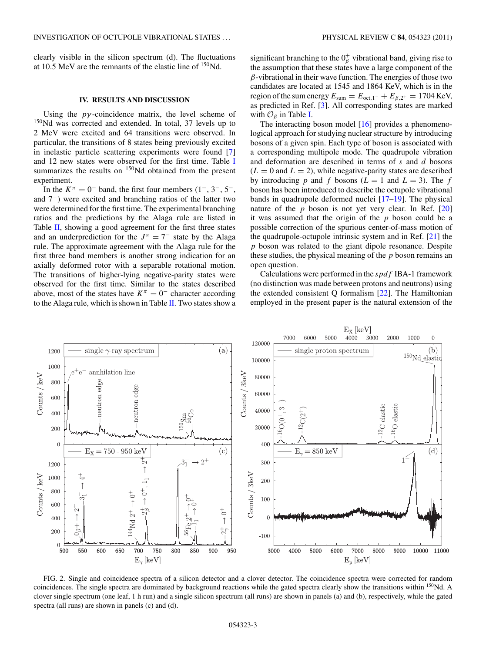<span id="page-2-0"></span>clearly visible in the silicon spectrum (d). The fluctuations at 10*.*5 MeV are the remnants of the elastic line of 150Nd.

# **IV. RESULTS AND DISCUSSION**

Using the  $p\gamma$ -coincidence matrix, the level scheme of <sup>150</sup>Nd was corrected and extended. In total, 37 levels up to 2 MeV were excited and 64 transitions were observed. In particular, the transitions of 8 states being previously excited in inelastic particle scattering experiments were found [\[7\]](#page-7-0) and 12 new states were observed for the first time. Table [I](#page-4-0) summarizes the results on  $150$ Nd obtained from the present experiment.

In the  $K^{\pi} = 0^{-}$  band, the first four members  $(1^{-}, 3^{-}, 5^{-},$ and 7−) were excited and branching ratios of the latter two were determined for the first time. The experimental branching ratios and the predictions by the Alaga rule are listed in Table [II,](#page-4-0) showing a good agreement for the first three states and an underprediction for the  $J^{\pi} = 7^-$  state by the Alaga rule. The approximate agreement with the Alaga rule for the first three band members is another strong indication for an axially deformed rotor with a separable rotational motion. The transitions of higher-lying negative-parity states were observed for the first time. Similar to the states described above, most of the states have  $K^{\pi} = 0^-$  character according to the Alaga rule, which is shown in Table [II.](#page-4-0) Two states show a

significant branching to the  $0<sub>\beta</sub><sup>+</sup>$  vibrational band, giving rise to the assumption that these states have a large component of the *β*-vibrational in their wave function. The energies of those two candidates are located at 1545 and 1864 KeV, which is in the region of the sum energy  $E_{\text{sum}} = E_{\text{oct,1}^-} + E_{\beta,2^+} = 1704 \text{ KeV}$ , as predicted in Ref. [\[3\]](#page-7-0). All corresponding states are marked with O*<sup>β</sup>* in Table [I.](#page-4-0)

The interacting boson model [\[16\]](#page-7-0) provides a phenomenological approach for studying nuclear structure by introducing bosons of a given spin. Each type of boson is associated with a corresponding multipole mode. The quadrupole vibration and deformation are described in terms of *s* and *d* bosons  $(L = 0$  and  $L = 2)$ , while negative-parity states are described by introducing *p* and *f* bosons ( $L = 1$  and  $L = 3$ ). The *f* boson has been introduced to describe the octupole vibrational bands in quadrupole deformed nuclei [\[17–19\]](#page-7-0). The physical nature of the *p* boson is not yet very clear. In Ref. [\[20\]](#page-7-0) it was assumed that the origin of the *p* boson could be a possible correction of the spurious center-of-mass motion of the quadrupole-octupole intrinsic system and in Ref. [\[21\]](#page-7-0) the *p* boson was related to the giant dipole resonance. Despite these studies, the physical meaning of the *p* boson remains an open question.

Calculations were performed in the *spdf* IBA-1 framework (no distinction was made between protons and neutrons) using the extended consistent Q formalism [\[22\]](#page-7-0). The Hamiltonian employed in the present paper is the natural extension of the



FIG. 2. Single and coincidence spectra of a silicon detector and a clover detector. The coincidence spectra were corrected for random coincidences. The single spectra are dominated by background reactions while the gated spectra clearly show the transitions within <sup>150</sup>Nd. A clover single spectrum (one leaf, 1 h run) and a single silicon spectrum (all runs) are shown in panels (a) and (b), respectively, while the gated spectra (all runs) are shown in panels (c) and (d).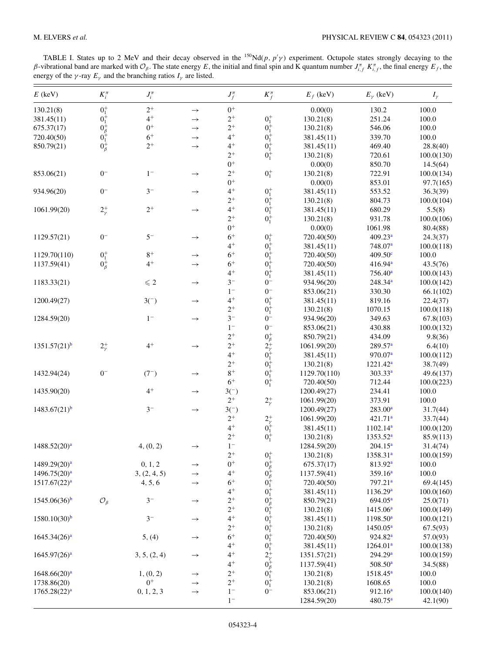TABLE I. States up to 2 MeV and their decay observed in the  $^{150}Nd(p, p'p')$  experiment. Octupole states strongly decaying to the *β*-vibrational band are marked with  $O_β$ . The state energy *E*, the initial and final spin and K quantum number  $J_{i,f}^π K_{i,f}^π$ , the final energy  $E_f$ , the energy of the  $\gamma$ -ray  $E_{\gamma}$  and the branching ratios  $I_{\gamma}$  are listed.

| $E$ (keV)                | $K_i^{\pi}$                                 | $J_i^{\pi}$   |               | $J_f^{\pi}$ | $K^{\pi}_{f}$                                                                                                 | $E_f$ (keV)  | $E_{\gamma}$ (keV)    | $I_{\gamma}$ |
|--------------------------|---------------------------------------------|---------------|---------------|-------------|---------------------------------------------------------------------------------------------------------------|--------------|-----------------------|--------------|
| 130.21(8)                | $0^+_1$                                     | $2^+$         | $\rightarrow$ | $0^+$       |                                                                                                               | 0.00(0)      | 130.2                 | 100.0        |
| 381.45(11)               | $0^+_1$                                     | $4^+$         | $\rightarrow$ | $2^+$       | $0^+_1$                                                                                                       | 130.21(8)    | 251.24                | 100.0        |
| 675.37(17)               | $0^+_{\beta}$<br>$0^+_{1}$<br>$0^+_{\beta}$ | $0^+$         | $\rightarrow$ | $2^+$       | $\boldsymbol{0}^+_1$                                                                                          | 130.21(8)    | 546.06                | 100.0        |
| 720.40(50)               |                                             | $6+$          | $\rightarrow$ | $4^+$       | $0^{+}_{1}$<br>$0^{+}_{1}$                                                                                    | 381.45(11)   | 339.70                | 100.0        |
| 850.79(21)               |                                             | $2^+$         | $\rightarrow$ | $4+$        |                                                                                                               | 381.45(11)   | 469.40                | 28.8(40)     |
|                          |                                             |               |               | $2^+$       | $0^{+}_{1}$                                                                                                   | 130.21(8)    | 720.61                | 100.0(130)   |
|                          |                                             |               |               | $0^+$       |                                                                                                               | 0.00(0)      | 850.70                | 14.5(64)     |
| 853.06(21)               | $0-$                                        | $1-$          | $\rightarrow$ | $2^+$       | $0^+_1$                                                                                                       | 130.21(8)    | 722.91                | 100.0(134)   |
|                          |                                             |               |               | $0^+$       |                                                                                                               | 0.00(0)      | 853.01                | 97.7(165)    |
| 934.96(20)               | $0-$                                        | $3-$          | $\rightarrow$ | $4^+$       |                                                                                                               | 381.45(11)   | 553.52                | 36.3(39)     |
|                          |                                             |               |               | $2^+$       | $0^+_1 \\ 0^+_1$                                                                                              | 130.21(8)    | 804.73                | 100.0(104)   |
| 1061.99(20)              | $2^+_\gamma$                                | $2^+$         | $\rightarrow$ | $4+$        | $0^+_1$                                                                                                       | 381.45(11)   | 680.29                | 5.5(8)       |
|                          |                                             |               |               | $2^+$       | $0^+_1$                                                                                                       | 130.21(8)    | 931.78                | 100.0(106)   |
|                          |                                             |               |               | $0^+$       |                                                                                                               | 0.00(0)      | 1061.98               | 80.4(88)     |
| 1129.57(21)              | $0-$                                        | $5-$          | $\rightarrow$ | $6+$        |                                                                                                               | 720.40(50)   | 409.23 <sup>a</sup>   | 24.3(37)     |
|                          |                                             |               |               | $4+$        | $\begin{matrix} 0^+_1\\ 0^+_1\\ 0^+_1 \end{matrix}$                                                           | 381.45(11)   | 748.07 <sup>a</sup>   | 100.0(118)   |
| 1129.70(110)             | $0^+_1$                                     | $8+$          | $\rightarrow$ | $6+$        |                                                                                                               | 720.40(50)   | 409.50 <sup>c</sup>   | 100.0        |
| 1137.59(41)              | $0^+_\beta$                                 | $4^+$         | $\rightarrow$ | $6+$        | $0^{+}_{1}$                                                                                                   | 720.40(50)   | 416.94 <sup>a</sup>   | 43.5(76)     |
|                          |                                             |               |               | $4+$        | $0^{+}_{1}$                                                                                                   | 381.45(11)   | $756.40^{\circ}$      | 100.0(143)   |
| 1183.33(21)              |                                             | $\leqslant 2$ |               | $3-$        | $0-$                                                                                                          | 934.96(20)   | $248.34^{a}$          | 100.0(142)   |
|                          |                                             |               | $\rightarrow$ | $1-$        | $0-$                                                                                                          |              | 330.30                |              |
|                          |                                             |               |               | $4^+$       |                                                                                                               | 853.06(21)   |                       | 66.1(102)    |
| 1200.49(27)              |                                             | $3-$          | $\rightarrow$ | $2^+$       | $0^+_1$                                                                                                       | 381.45(11)   | 819.16                | 22.4(37)     |
|                          |                                             | $1-$          |               |             | $0^+_1$                                                                                                       | 130.21(8)    | 1070.15               | 100.0(118)   |
| 1284.59(20)              |                                             |               | $\rightarrow$ | $3-$        | $0-$                                                                                                          | 934.96(20)   | 349.63                | 67.8(103)    |
|                          |                                             |               |               | $1-$        | $0-$                                                                                                          | 853.06(21)   | 430.88                | 100.0(132)   |
|                          |                                             |               |               | $2^+$       |                                                                                                               | 850.79(21)   | 434.09                | 9.8(36)      |
| $1351.57(21)^{b}$        | $2^+_\gamma$                                | $4^+$         | $\rightarrow$ | $2^+$       | $0^+_{\beta}$<br>$2^+_{\gamma}$<br>$0^+_{1}$<br>$0^+_{1}$<br>$0^+_{1}$                                        | 1061.99(20)  | 289.57 <sup>a</sup>   | 6.4(10)      |
|                          |                                             |               |               | $4^+$       |                                                                                                               | 381.45(11)   | 970.07 <sup>a</sup>   | 100.0(112)   |
|                          |                                             |               |               | $2^+$       |                                                                                                               | 130.21(8)    | $1221.42^a$           | 38.7(49)     |
| 1432.94(24)              | $0-$                                        | $(7^{-})$     | $\rightarrow$ | $8+$        |                                                                                                               | 1129.70(110) | 303.33 <sup>a</sup>   | 49.6(137)    |
|                          |                                             |               |               | $6+$        | $0^{+}_{1}$                                                                                                   | 720.40(50)   | 712.44                | 100.0(223)   |
| 1435.90(20)              |                                             | $4^+$         | $\rightarrow$ | $3($ )      |                                                                                                               | 1200.49(27)  | 234.41                | 100.0        |
|                          |                                             |               |               | $2^+$       | $2^+_\gamma$                                                                                                  | 1061.99(20)  | 373.91                | 100.0        |
| $1483.67(21)^b$          |                                             | $3-$          | $\rightarrow$ | $3-$        |                                                                                                               | 1200.49(27)  | $283.00^a$            | 31.7(44)     |
|                          |                                             |               |               | $2^+$       |                                                                                                               | 1061.99(20)  | 421.71 <sup>a</sup>   | 33.7(44)     |
|                          |                                             |               |               | $4^+$       | $2^+_{\gamma\over 1}$                                                                                         | 381.45(11)   | $1102.14^a$           | 100.0(120)   |
|                          |                                             |               |               | $2^+$       | $0^+_1$                                                                                                       | 130.21(8)    | 1353.52 <sup>a</sup>  | 85.9(113)    |
| $1488.52(20)^{a}$        |                                             | 4, (0, 2)     | $\rightarrow$ | $1-$        |                                                                                                               | 1284.59(20)  | $204.15^a$            | 31.4(74)     |
|                          |                                             |               |               | $2^{+}$     | $0^+_1$                                                                                                       | 130.21(8)    | 1358.31 <sup>a</sup>  | 100.0(159)   |
| 1489.29(20) <sup>a</sup> |                                             | 0, 1, 2       | $\rightarrow$ | $0+$        | $0^+_{\beta}$<br>$0^+_{\beta}$<br>$0^+_{1}$                                                                   | 675.37(17)   | 813.92 <sup>a</sup>   | 100.0        |
| 1496.75(20) <sup>a</sup> |                                             | 3, (2, 4, 5)  | $\rightarrow$ | $4^+$       |                                                                                                               | 1137.59(41)  | 359.16 <sup>a</sup>   | 100.0        |
| $1517.67(22)^{a}$        |                                             | 4, 5, 6       | $\rightarrow$ | $6+$        |                                                                                                               | 720.40(50)   | $797.21$ <sup>a</sup> | 69.4(145)    |
|                          |                                             |               |               | $4^+$       | $0^+_1$                                                                                                       | 381.45(11)   | 1136.29 <sup>a</sup>  | 100.0(160)   |
| 1545.06(36) <sup>b</sup> | $\mathcal{O}_{\beta}$                       | $3-$          | $\rightarrow$ | $2^+$       | $0^{+}_{\beta}$<br>$0^{+}_{1}$                                                                                | 850.79(21)   | 694.05 <sup>a</sup>   | 25.0(71)     |
|                          |                                             |               |               | $2^+$       |                                                                                                               | 130.21(8)    | 1415.06 <sup>a</sup>  | 100.0(149)   |
| 1580.10(30) <sup>b</sup> |                                             | $3-$          | $\rightarrow$ | $4^+$       |                                                                                                               | 381.45(11)   | $1198.50^a$           | 100.0(121)   |
|                          |                                             |               |               | $2^+$       | $0^{+}_{1}$<br>$0^{+}_{1}$<br>$0^{+}_{1}$                                                                     | 130.21(8)    | $1450.05^a$           | 67.5(93)     |
| $1645.34(26)^{a}$        |                                             | 5, (4)        | $\rightarrow$ | $6+$        |                                                                                                               | 720.40(50)   | $924.82^a$            | 57.0(93)     |
|                          |                                             |               |               | $4^+$       | $0^{+}_{1}$                                                                                                   | 381.45(11)   | 1264.01 <sup>a</sup>  | 100.0(138)   |
| 1645.97(26) <sup>a</sup> |                                             | 3, 5, (2, 4)  | $\rightarrow$ | $4^+$       |                                                                                                               | 1351.57(21)  | 294.29 <sup>a</sup>   | 100.0(159)   |
|                          |                                             |               |               | $4^+$       | $2^{+}_{\gamma}$<br>0 <sup>+</sup> <sub>β</sub><br>0 <sup>+</sup> <sub>1</sub><br>0 <sup>+</sup> <sub>1</sub> | 1137.59(41)  | 508.50 <sup>a</sup>   | 34.5(88)     |
| 1648.66(20) <sup>a</sup> |                                             | 1, (0, 2)     | $\rightarrow$ | $2^+$       |                                                                                                               | 130.21(8)    | $1518.45^a$           | 100.0        |
| 1738.86(20)              |                                             | $0^+$         | $\rightarrow$ | $2^+$       |                                                                                                               | 130.21(8)    | 1608.65               | 100.0        |
| 1765.28(22) <sup>a</sup> |                                             | 0, 1, 2, 3    | $\rightarrow$ | $1-$        | $0-$                                                                                                          | 853.06(21)   | 912.16 <sup>a</sup>   | 100.0(140)   |
|                          |                                             |               |               | $1-$        |                                                                                                               | 1284.59(20)  | $480.75^a$            | 42.1(90)     |
|                          |                                             |               |               |             |                                                                                                               |              |                       |              |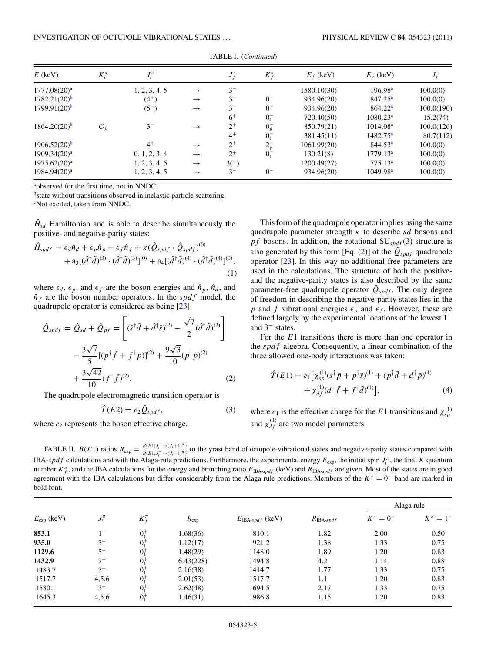<span id="page-4-0"></span>

| $E$ (keV)                  | $K_i^{\pi}$           | $J_i^{\pi}$   |               | $J_f^{\pi}$ | $K_f^{\pi}$   | $E_f$ (keV) | $E_{\nu}$ (keV)      | $I_{\gamma}$ |
|----------------------------|-----------------------|---------------|---------------|-------------|---------------|-------------|----------------------|--------------|
| $1777.08(20)^{a}$          |                       | 1, 2, 3, 4, 5 | $\rightarrow$ | $3^{-}$     |               | 1580.10(30) | 196.98 <sup>a</sup>  | 100.0(0)     |
| $1782.21(20)$ <sup>b</sup> |                       | $(4^{+})$     | $\rightarrow$ | $3-$        | $0-$          | 934.96(20)  | $847.25^a$           | 100.0(0)     |
| $1799.91(20)$ <sup>b</sup> |                       | $(5^{-})$     | $\rightarrow$ | $3^{-}$     | $0-$          | 934.96(20)  | 864.22 <sup>a</sup>  | 100.0(190)   |
|                            |                       |               |               | $6^+$       | $0^{+}_{1}$   | 720.40(50)  | 1080.23 <sup>a</sup> | 15.2(74)     |
| $1864.20(20)^b$            | $\mathcal{O}_{\beta}$ | $3^{-}$       | $\rightarrow$ | $2^{+}$     | $0^+_\beta$   | 850.79(21)  | 1014.08 <sup>a</sup> | 100.0(126)   |
|                            |                       |               |               | $4^+$       | $0^{+}_{1}$   | 381.45(11)  | $1482.75^a$          | 80.7(112)    |
| $1906.52(20)$ <sup>b</sup> |                       | $4^+$         | $\rightarrow$ | $2^{+}$     | $2^{+}_{\nu}$ | 1061.99(20) | 844.53 <sup>a</sup>  | 100.0(0)     |
| $1909.34(20)^{a}$          |                       | 0, 1, 2, 3, 4 | $\rightarrow$ | $2^{+}$     | $0^{+}_{1}$   | 130.21(8)   | 1779.13 <sup>a</sup> | 100.0(0)     |
| $1975.62(20)^{a}$          |                       | 1, 2, 3, 4, 5 | $\rightarrow$ | $3^{(-)}$   |               | 1200.49(27) | 775.13 <sup>a</sup>  | 100.0(0)     |
| $1984.94(20)^{a}$          |                       | 1, 2, 3, 4, 5 | $\rightarrow$ | $3-$        | $0-$          | 934.96(20)  | 1049.98 <sup>a</sup> | 100.0(0)     |

TABLE I. (*Continued*)

a observed for the first time, not in NNDC.

<sup>b</sup>state without transitions observed in inelastic particle scattering.

c Not excited, taken from NNDC.

 $\hat{H}_{sd}$  Hamiltonian and is able to describe simultaneously the positive- and negative-parity states:

$$
\hat{H}_{spdf} = \epsilon_d \hat{n}_d + \epsilon_p \hat{n}_p + \epsilon_f \hat{n}_f + \kappa (\hat{Q}_{spdf} \cdot \hat{Q}_{spdf})^{(0)} \n+ a_3 [(\hat{d}^\dagger \tilde{d})^{(3)} \cdot (\hat{d}^\dagger \tilde{d})^{(3)}]^{(0)} + a_4 [(\hat{d}^\dagger \tilde{d})^{(4)} \cdot (\hat{d}^\dagger \tilde{d})^{(4)}]^{(0)},
$$
\n(1)

where  $\epsilon_d$ ,  $\epsilon_p$ , and  $\epsilon_f$  are the boson energies and  $\hat{n}_p$ ,  $\hat{n}_d$ , and  $\hat{n}_f$  are the boson number operators. In the *spdf* model, the quadrupole operator is considered as being [\[23\]](#page-7-0)

$$
\hat{Q}_{spdf} = \hat{Q}_{sd} + \hat{Q}_{pf} = \left[ (\hat{s}^\dagger \tilde{d} + \hat{d}^\dagger \hat{s})^{(2)} - \frac{\sqrt{7}}{2} (\hat{d}^\dagger \tilde{d})^{(2)} \right] \n- \frac{3\sqrt{7}}{5} [(p^\dagger \tilde{f} + f^\dagger \tilde{p})]^{(2)} + \frac{9\sqrt{3}}{10} (p^\dagger \tilde{p})^{(2)} \n+ \frac{3\sqrt{42}}{10} (f^\dagger \tilde{f})^{(2)}.
$$
\n(2)

The quadrupole electromagnetic transition operator is

$$
\hat{T}(E2) = e_2 \hat{Q}_{spdf},\tag{3}
$$

where  $e_2$  represents the boson effective charge.

This form of the quadrupole operator implies using the same quadrupole parameter strength *κ* to describe *sd* bosons and *pf* bosons. In addition, the rotational SU*spdf* (3) structure is also generated by this form [Eq. (2)] of the  $\hat{Q}_{spdf}$  quadrupole operator [\[23\]](#page-7-0). In this way no additional free parameters are used in the calculations. The structure of both the positiveand the negative-parity states is also described by the same parameter-free quadrupole operator  $\hat{Q}_{spdf}$ . The only degree of freedom in describing the negative-parity states lies in the *p* and *f* vibrational energies  $\epsilon_p$  and  $\epsilon_f$ . However, these are defined largely by the experimental locations of the lowest 1<sup>−</sup> and 3<sup>−</sup> states.

For the *E*1 transitions there is more than one operator in the *spdf* algebra. Consequently, a linear combination of the three allowed one-body interactions was taken:

$$
\hat{T}(E1) = e_1 \Big[ \chi_{sp}^{(1)} (s^\dagger \tilde{p} + p^\dagger \tilde{s})^{(1)} + (p^\dagger \tilde{d} + d^\dagger \tilde{p})^{(1)} + \chi_{df}^{(1)} (d^\dagger \tilde{f} + f^\dagger \tilde{d})^{(1)} \Big],
$$
\n(4)

where  $e_1$  is the effective charge for the *E*1 transitions and  $\chi_{sp}^{(1)}$ and  $\chi_{df}^{(1)}$  are two model parameters.

TABLE II.  $B(E1)$  ratios  $R_{exp} = \frac{B(E1; J_i^- \rightarrow (J_i+1)^T)}{B(E1; J_i^- \rightarrow (J_i-1)^T)}$  to the yrast band of octupole-vibrational states and negative-parity states compared with IBA-*spdf* calculations and with the Alaga-rule predictions. Furthermore, the experimental energy  $E_{\text{exp}}$ , the initial spin  $J_i^{\pi}$ , the final *K* quantum number  $K_f^{\pi}$ , and the IBA calculations for the energy and branching ratio  $E_{\text{IBA-spdf}}$  (keV) and  $R_{\text{IBA-spdf}}$  are given. Most of the states are in good agreement with the IBA calculations but differ considerably from the Alaga rule predictions. Members of the *K<sup>π</sup>* = 0<sup>−</sup> band are marked in bold font.

| $E_{\text{exp}}$ (keV) | $J_i^{\pi}$ | $K^{\pi}_{\scriptscriptstyle C}$ | $R_{\rm exp}$ |                             | $R_{\text{IBA-}spdf}$ | Alaga rule        |                   |
|------------------------|-------------|----------------------------------|---------------|-----------------------------|-----------------------|-------------------|-------------------|
|                        |             |                                  |               | $E_{\text{IBA-spdf}}$ (keV) |                       | $K^{\pi} = 0^{-}$ | $K^{\pi} = 1^{-}$ |
| 853.1                  | $1^{-}$     | $0^{+}$                          | 1.68(36)      | 810.1                       | 1.82                  | 2.00              | 0.50              |
| 935.0                  | $3^-$       | $0^{+}$                          | 1.12(17)      | 921.2                       | 1.38                  | 1.33              | 0.75              |
| 1129.6                 | $5-$        | $0^{+}$                          | 1.48(29)      | 1148.0                      | 1.89                  | 1.20              | 0.83              |
| 1432.9                 | $7 -$       | $0^{+}_{1}$                      | 6.43(228)     | 1494.8                      | 4.2                   | 1.14              | 0.88              |
| 1483.7                 | $3^{-}$     | $0^{+}$                          | 2.16(38)      | 1414.7                      | 1.77                  | 1.33              | 0.75              |
| 1517.7                 | 4,5,6       | $0^{+}$                          | 2.01(53)      | 1517.7                      | 1.1                   | 1.20              | 0.83              |
| 1580.1                 | $3^{-}$     | $0^{+}$                          | 2.62(48)      | 1694.5                      | 2.17                  | 1.33              | 0.75              |
| 1645.3                 | 4,5,6       | $0^{+}_{1}$                      | 1.46(31)      | 1986.8                      | 1.15                  | 1.20              | 0.83              |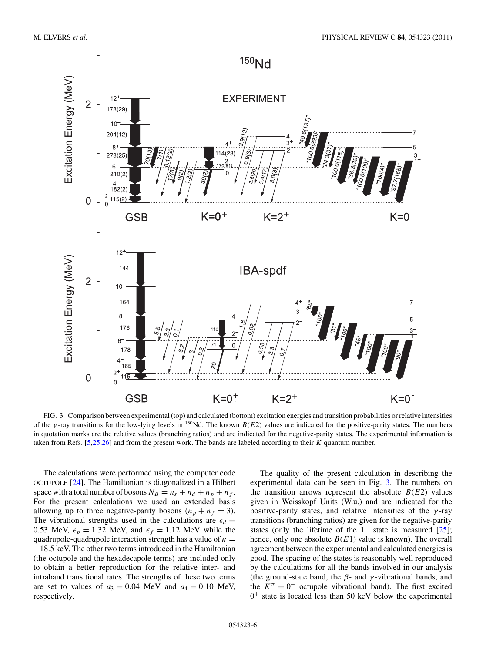<span id="page-5-0"></span>

FIG. 3. Comparison between experimental (top) and calculated (bottom) excitation energies and transition probabilities or relative intensities of the *γ*-ray transitions for the low-lying levels in <sup>150</sup>Nd. The known *B*(*E*2) values are indicated for the positive-parity states. The numbers in quotation marks are the relative values (branching ratios) and are indicated for the negative-parity states. The experimental information is taken from Refs. [\[5,25,26\]](#page-7-0) and from the present work. The bands are labeled according to their *K* quantum number.

The calculations were performed using the computer code OCTUPOLE [\[24\]](#page-7-0). The Hamiltonian is diagonalized in a Hilbert space with a total number of bosons  $N_B = n_s + n_d + n_p + n_f$ . For the present calculations we used an extended basis allowing up to three negative-parity bosons  $(n_p + n_f = 3)$ . The vibrational strengths used in the calculations are  $\epsilon_d$  = 0.53 MeV,  $\epsilon_p = 1.32$  MeV, and  $\epsilon_f = 1.12$  MeV while the quadrupole-quadrupole interaction strength has a value of  $\kappa =$ −18*.*5 keV. The other two terms introduced in the Hamiltonian (the octupole and the hexadecapole terms) are included only to obtain a better reproduction for the relative inter- and intraband transitional rates. The strengths of these two terms are set to values of  $a_3 = 0.04$  MeV and  $a_4 = 0.10$  MeV, respectively.

The quality of the present calculation in describing the experimental data can be seen in Fig. 3. The numbers on the transition arrows represent the absolute  $B(E2)$  values given in Weisskopf Units (W.u.) and are indicated for the positive-parity states, and relative intensities of the *γ* -ray transitions (branching ratios) are given for the negative-parity states (only the lifetime of the 1<sup>−</sup> state is measured [\[25\]](#page-7-0); hence, only one absolute  $B(E1)$  value is known). The overall agreement between the experimental and calculated energies is good. The spacing of the states is reasonably well reproduced by the calculations for all the bands involved in our analysis (the ground-state band, the  $\beta$ - and  $\gamma$ -vibrational bands, and the  $K^{\pi} = 0^{-}$  octupole vibrational band). The first excited  $0^+$  state is located less than 50 keV below the experimental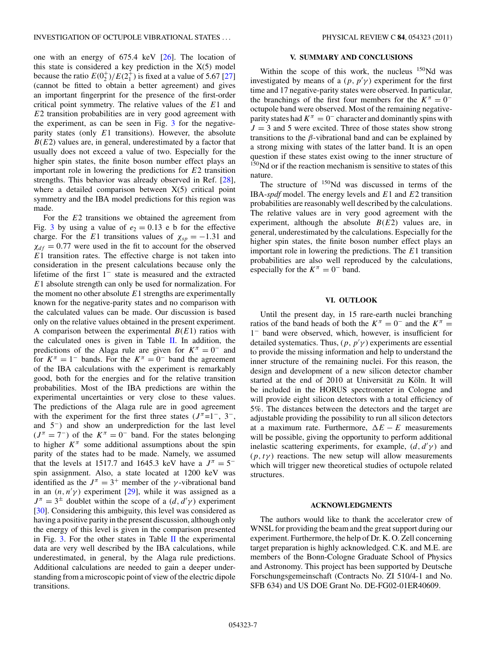one with an energy of 675.4 keV [\[26\]](#page-7-0). The location of this state is considered a key prediction in the  $X(5)$  model because the ratio  $E(0^+_2)/E(2^+_1)$  is fixed at a value of 5.67 [\[27\]](#page-7-0) (cannot be fitted to obtain a better agreement) and gives an important fingerprint for the presence of the first-order critical point symmetry. The relative values of the *E*1 and *E*2 transition probabilities are in very good agreement with the experiment, as can be seen in Fig. [3](#page-5-0) for the negativeparity states (only *E*1 transitions). However, the absolute  $B(E2)$  values are, in general, underestimated by a factor that usually does not exceed a value of two. Especially for the higher spin states, the finite boson number effect plays an important role in lowering the predictions for *E*2 transition strengths. This behavior was already observed in Ref. [\[28\]](#page-7-0), where a detailed comparison between  $X(5)$  critical point symmetry and the IBA model predictions for this region was made.

For the *E*2 transitions we obtained the agreement from Fig. [3](#page-5-0) by using a value of  $e_2 = 0.13$  e b for the effective charge. For the *E*1 transitions values of  $\chi_{sp} = -1.31$  and  $\chi_{df} = 0.77$  were used in the fit to account for the observed *E*1 transition rates. The effective charge is not taken into consideration in the present calculations because only the lifetime of the first 1<sup>−</sup> state is measured and the extracted *E*1 absolute strength can only be used for normalization. For the moment no other absolute *E*1 strengths are experimentally known for the negative-parity states and no comparison with the calculated values can be made. Our discussion is based only on the relative values obtained in the present experiment. A comparison between the experimental  $B(E1)$  ratios with the calculated ones is given in Table [II.](#page-4-0) In addition, the predictions of the Alaga rule are given for  $K^{\pi} = 0^-$  and for  $K^{\pi} = 1^{-}$  bands. For the  $K^{\pi} = 0^{-}$  band the agreement of the IBA calculations with the experiment is remarkably good, both for the energies and for the relative transition probabilities. Most of the IBA predictions are within the experimental uncertainties or very close to these values. The predictions of the Alaga rule are in good agreement with the experiment for the first three states  $(J^{\pi}=1^{-}, 3^{-},$ and 5−) and show an underprediction for the last level  $(J^{\pi} = 7^{-})$  of the  $K^{\pi} = 0^{-}$  band. For the states belonging to higher  $K^{\pi}$  some additional assumptions about the spin parity of the states had to be made. Namely, we assumed that the levels at 1517.7 and 1645.3 keV have a  $J^{\pi} = 5^{-}$ spin assignment. Also, a state located at 1200 keV was identified as the  $J^{\pi} = 3^{+}$  member of the *γ*-vibrational band in an  $(n, n' \gamma)$  experiment [\[29\]](#page-7-0), while it was assigned as a  $J^{\pi} = 3^{\pm}$  doublet within the scope of a  $(d, d'\gamma)$  experiment [\[30\]](#page-7-0). Considering this ambiguity, this level was considered as having a positive parity in the present discussion, although only the energy of this level is given in the comparison presented in Fig. [3.](#page-5-0) For the other states in Table [II](#page-4-0) the experimental data are very well described by the IBA calculations, while underestimated, in general, by the Alaga rule predictions. Additional calculations are needed to gain a deeper understanding from a microscopic point of view of the electric dipole transitions.

#### **V. SUMMARY AND CONCLUSIONS**

Within the scope of this work, the nucleus  $150$ Nd was investigated by means of a  $(p, p'p)$  experiment for the first time and 17 negative-parity states were observed. In particular, the branchings of the first four members for the  $K^{\pi} = 0^{-1}$ octupole band were observed. Most of the remaining negativeparity states had  $K^{\pi} = 0^-$  character and dominantly spins with  $J = 3$  and 5 were excited. Three of those states show strong transitions to the *β*-vibrational band and can be explained by a strong mixing with states of the latter band. It is an open question if these states exist owing to the inner structure of  $150$ Nd or if the reaction mechanism is sensitive to states of this nature.

The structure of <sup>150</sup>Nd was discussed in terms of the IBA-*spdf* model. The energy levels and *E*1 and *E*2 transition probabilities are reasonably well described by the calculations. The relative values are in very good agreement with the experiment, although the absolute  $B(E2)$  values are, in general, underestimated by the calculations. Especially for the higher spin states, the finite boson number effect plays an important role in lowering the predictions. The *E*1 transition probabilities are also well reproduced by the calculations, especially for the  $K^{\pi} = 0^-$  band.

### **VI. OUTLOOK**

Until the present day, in 15 rare-earth nuclei branching ratios of the band heads of both the  $K^{\pi} = 0^-$  and the  $K^{\pi} =$ 1<sup>−</sup> band were observed, which, however, is insufficient for detailed systematics. Thus,  $(p, p'p)$  experiments are essential to provide the missing information and help to understand the inner structure of the remaining nuclei. For this reason, the design and development of a new silicon detector chamber started at the end of 2010 at Universität zu Köln. It will be included in the HORUS spectrometer in Cologne and will provide eight silicon detectors with a total efficiency of 5%. The distances between the detectors and the target are adjustable providing the possibility to run all silicon detectors at a maximum rate. Furthermore,  $\Delta E - E$  measurements will be possible, giving the opportunity to perform additional inelastic scattering experiments, for example,  $(d, d'\gamma)$  and  $(p, t\gamma)$  reactions. The new setup will allow measurements which will trigger new theoretical studies of octupole related structures.

#### **ACKNOWLEDGMENTS**

The authors would like to thank the accelerator crew of WNSL for providing the beam and the great support during our experiment. Furthermore, the help of Dr. K. O. Zell concerning target preparation is highly acknowledged. C.K. and M.E. are members of the Bonn-Cologne Graduate School of Physics and Astronomy. This project has been supported by Deutsche Forschungsgemeinschaft (Contracts No. ZI 510/4-1 and No. SFB 634) and US DOE Grant No. DE-FG02-01ER40609.